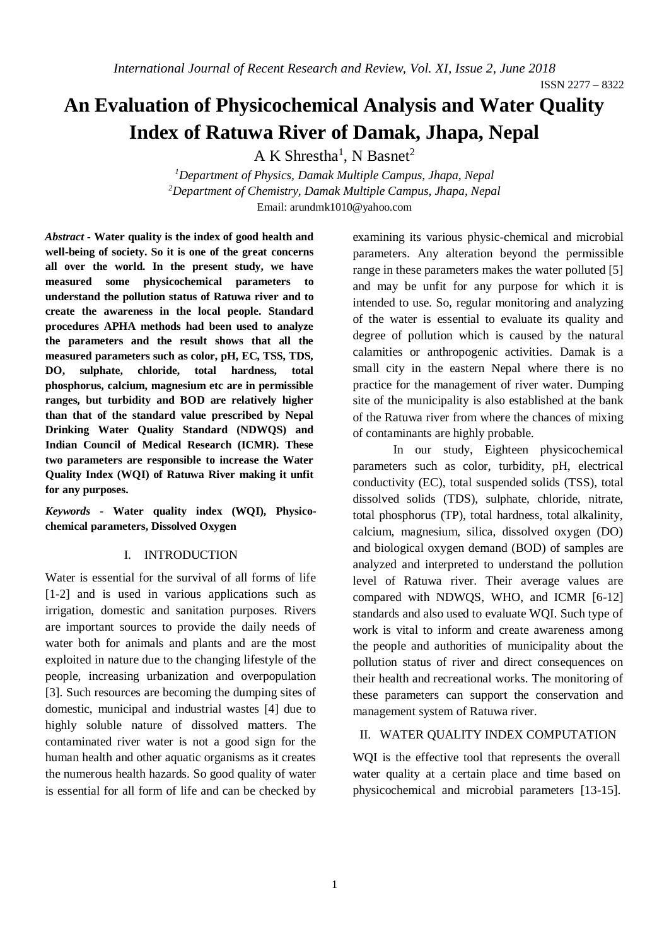# **An Evaluation of Physicochemical Analysis and Water Quality Index of Ratuwa River of Damak, Jhapa, Nepal**

 $A K Shrestha<sup>1</sup>, N Basnet<sup>2</sup>$ 

*<sup>1</sup>Department of Physics, Damak Multiple Campus, Jhapa, Nepal <sup>2</sup>Department of Chemistry, Damak Multiple Campus, Jhapa, Nepal* Email: [arundmk1010@yahoo.com](mailto:arundmk1010@yahoo.com)

*Abstract -* **Water quality is the index of good health and well-being of society. So it is one of the great concerns all over the world. In the present study, we have measured some physicochemical parameters to understand the pollution status of Ratuwa river and to create the awareness in the local people. Standard procedures APHA methods had been used to analyze the parameters and the result shows that all the measured parameters such as color, pH, EC, TSS, TDS, DO, sulphate, chloride, total hardness, total phosphorus, calcium, magnesium etc are in permissible ranges, but turbidity and BOD are relatively higher than that of the standard value prescribed by Nepal Drinking Water Quality Standard (NDWQS) and Indian Council of Medical Research (ICMR). These two parameters are responsible to increase the Water Quality Index (WQI) of Ratuwa River making it unfit for any purposes.**

*Keywords* **- Water quality index (WQI), Physicochemical parameters, Dissolved Oxygen**

## I. INTRODUCTION

Water is essential for the survival of all forms of life [1-2] and is used in various applications such as irrigation, domestic and sanitation purposes. Rivers are important sources to provide the daily needs of water both for animals and plants and are the most exploited in nature due to the changing lifestyle of the people, increasing urbanization and overpopulation [3]. Such resources are becoming the dumping sites of domestic, municipal and industrial wastes [4] due to highly soluble nature of dissolved matters. The contaminated river water is not a good sign for the human health and other aquatic organisms as it creates the numerous health hazards. So good quality of water is essential for all form of life and can be checked by

examining its various physic-chemical and microbial parameters. Any alteration beyond the permissible range in these parameters makes the water polluted [5] and may be unfit for any purpose for which it is intended to use. So, regular monitoring and analyzing of the water is essential to evaluate its quality and degree of pollution which is caused by the natural calamities or anthropogenic activities. Damak is a small city in the eastern Nepal where there is no practice for the management of river water. Dumping site of the municipality is also established at the bank of the Ratuwa river from where the chances of mixing of contaminants are highly probable.

In our study, Eighteen physicochemical parameters such as color, turbidity, pH, electrical conductivity (EC), total suspended solids (TSS), total dissolved solids (TDS), sulphate, chloride, nitrate, total phosphorus (TP), total hardness, total alkalinity, calcium, magnesium, silica, dissolved oxygen (DO) and biological oxygen demand (BOD) of samples are analyzed and interpreted to understand the pollution level of Ratuwa river. Their average values are compared with NDWQS, WHO, and ICMR [6-12] standards and also used to evaluate WQI. Such type of work is vital to inform and create awareness among the people and authorities of municipality about the pollution status of river and direct consequences on their health and recreational works. The monitoring of these parameters can support the conservation and management system of Ratuwa river.

#### II. WATER QUALITY INDEX COMPUTATION

WQI is the effective tool that represents the overall water quality at a certain place and time based on physicochemical and microbial parameters [13-15].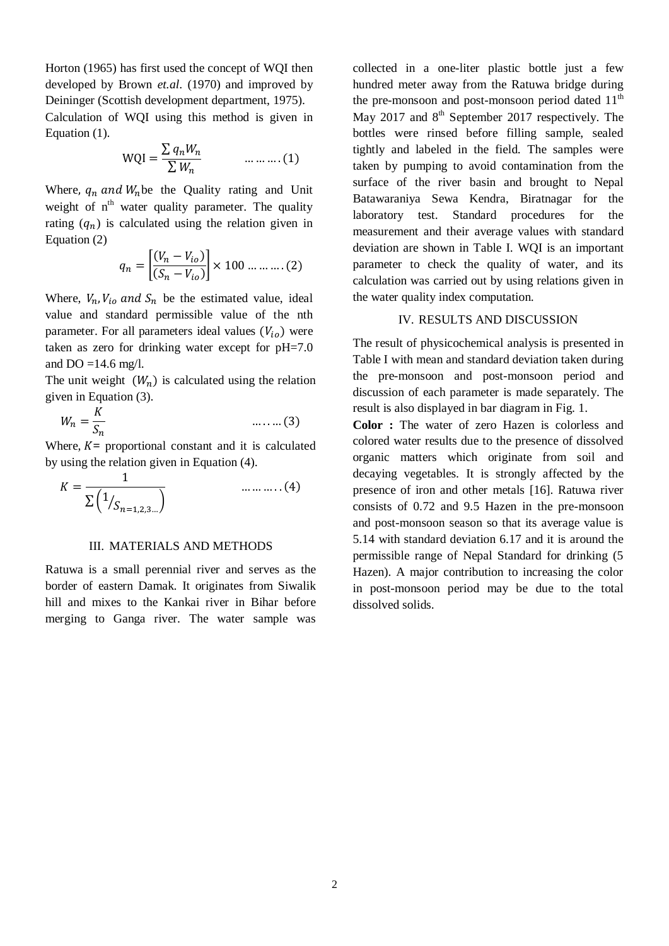Horton (1965) has first used the concept of WQI then developed by Brown *et.al*. (1970) and improved by Deininger (Scottish development department, 1975).

Calculation of WQI using this method is given in Equation (1).

$$
WQI = \frac{\sum q_n W_n}{\sum W_n}
$$
 ... ... ... (1)

Where,  $q_n$  and  $W_n$ be the Quality rating and Unit weight of  $n<sup>th</sup>$  water quality parameter. The quality rating  $(q_n)$  is calculated using the relation given in Equation (2)

$$
q_n = \left[ \frac{(V_n - V_{io})}{(S_n - V_{io})} \right] \times 100 \dots \dots \dots (2)
$$

Where,  $V_n$ ,  $V_{io}$  and  $S_n$  be the estimated value, ideal value and standard permissible value of the nth parameter. For all parameters ideal values  $(V_{io})$  were taken as zero for drinking water except for pH=7.0 and  $DO = 14.6$  mg/l.

The unit weight  $(W_n)$  is calculated using the relation given in Equation (3).

$$
W_n = \frac{K}{S_n} \qquad \qquad \dots \dots \dots (3)
$$

Where,  $K =$  proportional constant and it is calculated by using the relation given in Equation (4).

$$
K = \frac{1}{\sum \left( \frac{1}{S_{n=1,2,3...}} \right)}
$$
 .........(4)

## III. MATERIALS AND METHODS

Ratuwa is a small perennial river and serves as the border of eastern Damak. It originates from Siwalik hill and mixes to the Kankai river in Bihar before merging to Ganga river. The water sample was

collected in a one-liter plastic bottle just a few hundred meter away from the Ratuwa bridge during the pre-monsoon and post-monsoon period dated  $11<sup>th</sup>$ May 2017 and  $8<sup>th</sup>$  September 2017 respectively. The bottles were rinsed before filling sample, sealed tightly and labeled in the field. The samples were taken by pumping to avoid contamination from the surface of the river basin and brought to Nepal Batawaraniya Sewa Kendra, Biratnagar for the laboratory test. Standard procedures for the measurement and their average values with standard deviation are shown in Table I. WQI is an important parameter to check the quality of water, and its calculation was carried out by using relations given in the water quality index computation.

# IV. RESULTS AND DISCUSSION

The result of physicochemical analysis is presented in Table I with mean and standard deviation taken during the pre-monsoon and post-monsoon period and discussion of each parameter is made separately. The result is also displayed in bar diagram in Fig. 1.

**Color :** The water of zero Hazen is colorless and colored water results due to the presence of dissolved organic matters which originate from soil and decaying vegetables. It is strongly affected by the presence of iron and other metals [16]. Ratuwa river consists of 0.72 and 9.5 Hazen in the pre-monsoon and post-monsoon season so that its average value is 5.14 with standard deviation 6.17 and it is around the permissible range of Nepal Standard for drinking (5 Hazen). A major contribution to increasing the color in post-monsoon period may be due to the total dissolved solids.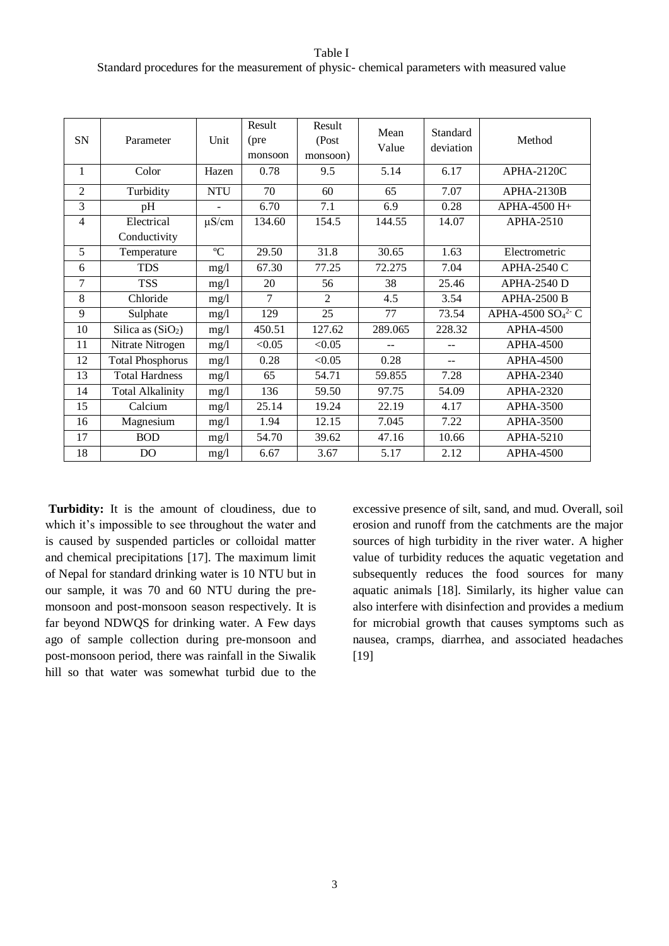Table I Standard procedures for the measurement of physic- chemical parameters with measured value

| SN             | Parameter               | Unit        | Result<br>(pre<br>monsoon | Result<br>(Post<br>monsoon) | Mean<br>Value  | Standard<br>deviation | Method             |
|----------------|-------------------------|-------------|---------------------------|-----------------------------|----------------|-----------------------|--------------------|
| $\mathbf{1}$   | Color                   | Hazen       | 0.78                      | 9.5                         | 5.14           | 6.17                  | APHA-2120C         |
| $\overline{2}$ | Turbidity               | <b>NTU</b>  | 70                        | 60                          | 65             | 7.07                  | <b>APHA-2130B</b>  |
| $\overline{3}$ | pH                      | L,          | 6.70                      | 7.1                         | 6.9            | 0.28                  | APHA-4500 H+       |
| 4              | Electrical              | $\mu$ S/cm  | 134.60                    | 154.5                       | 144.55         | 14.07                 | $APHA-2510$        |
|                | Conductivity            |             |                           |                             |                |                       |                    |
| 5              | Temperature             | $\rm ^{o}C$ | 29.50                     | 31.8                        | 30.65          | 1.63                  | Electrometric      |
| 6              | <b>TDS</b>              | mg/1        | 67.30                     | 77.25                       | 72.275         | 7.04                  | APHA-2540 C        |
| 7              | <b>TSS</b>              | mg/1        | 20                        | 56                          | 38             | 25.46                 | <b>APHA-2540 D</b> |
| 8              | Chloride                | mg/l        | $\tau$                    | $\overline{2}$              | 4.5            | 3.54                  | <b>APHA-2500 B</b> |
| 9              | Sulphate                | mg/1        | 129                       | 25                          | 77             | 73.54                 | APHA-4500 $SO42$ C |
| 10             | Silica as $(SiO2)$      | mg/1        | 450.51                    | 127.62                      | 289.065        | 228.32                | APHA-4500          |
| 11             | Nitrate Nitrogen        | mg/l        | < 0.05                    | < 0.05                      | $\overline{a}$ | $\overline{a}$        | <b>APHA-4500</b>   |
| 12             | <b>Total Phosphorus</b> | mg/l        | 0.28                      | < 0.05                      | 0.28           | $-$                   | <b>APHA-4500</b>   |
| 13             | <b>Total Hardness</b>   | mg/1        | 65                        | 54.71                       | 59.855         | 7.28                  | $APHA-2340$        |
| 14             | <b>Total Alkalinity</b> | mg/l        | 136                       | 59.50                       | 97.75          | 54.09                 | <b>APHA-2320</b>   |
| 15             | Calcium                 | mg/1        | 25.14                     | 19.24                       | 22.19          | 4.17                  | <b>APHA-3500</b>   |
| 16             | Magnesium               | mg/1        | 1.94                      | 12.15                       | 7.045          | 7.22                  | <b>APHA-3500</b>   |
| 17             | <b>BOD</b>              | mg/1        | 54.70                     | 39.62                       | 47.16          | 10.66                 | APHA-5210          |
| 18             | D <sub>O</sub>          | mg/l        | 6.67                      | 3.67                        | 5.17           | 2.12                  | <b>APHA-4500</b>   |

**Turbidity:** It is the amount of cloudiness, due to which it's impossible to see throughout the water and is caused by suspended particles or colloidal matter and chemical precipitations [17]. The maximum limit of Nepal for standard drinking water is 10 NTU but in our sample, it was 70 and 60 NTU during the premonsoon and post-monsoon season respectively. It is far beyond NDWQS for drinking water. A Few days ago of sample collection during pre-monsoon and post-monsoon period, there was rainfall in the Siwalik hill so that water was somewhat turbid due to the

excessive presence of silt, sand, and mud. Overall, soil erosion and runoff from the catchments are the major sources of high turbidity in the river water. A higher value of turbidity reduces the aquatic vegetation and subsequently reduces the food sources for many aquatic animals [18]. Similarly, its higher value can also interfere with disinfection and provides a medium for microbial growth that causes symptoms such as nausea, cramps, diarrhea, and associated headaches [19]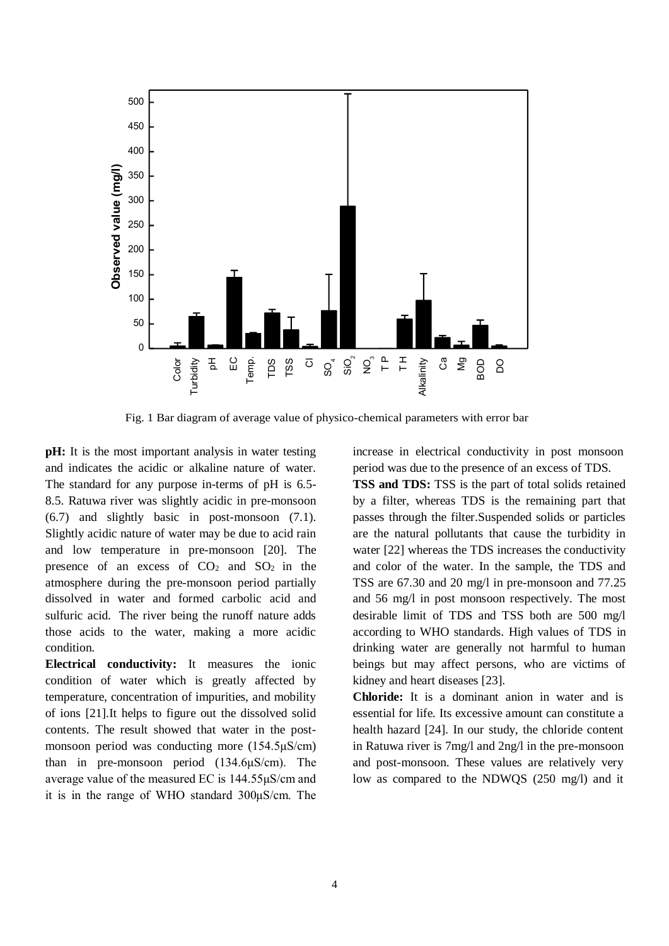

Fig. 1 Bar diagram of average value of physico-chemical parameters with error bar

**pH:** It is the most important analysis in water testing and indicates the acidic or alkaline nature of water. The standard for any purpose in-terms of pH is 6.5- 8.5. Ratuwa river was slightly acidic in pre-monsoon (6.7) and slightly basic in post-monsoon (7.1). Slightly acidic nature of water may be due to acid rain and low temperature in pre-monsoon [20]. The presence of an excess of  $CO<sub>2</sub>$  and  $SO<sub>2</sub>$  in the atmosphere during the pre-monsoon period partially dissolved in water and formed carbolic acid and sulfuric acid. The river being the runoff nature adds those acids to the water, making a more acidic condition.

**Electrical conductivity:** It measures the ionic condition of water which is greatly affected by temperature, concentration of impurities, and mobility of ions [21].It helps to figure out the dissolved solid contents. The result showed that water in the postmonsoon period was conducting more (154.5μS/cm) than in pre-monsoon period (134.6μS/cm). The average value of the measured EC is 144.55μS/cm and it is in the range of WHO standard 300μS/cm. The increase in electrical conductivity in post monsoon period was due to the presence of an excess of TDS.

**TSS and TDS:** TSS is the part of total solids retained by a filter, whereas TDS is the remaining part that passes through the filter.Suspended solids or particles are the natural pollutants that cause the turbidity in water [22] whereas the TDS increases the conductivity and color of the water. In the sample, the TDS and TSS are 67.30 and 20 mg/l in pre-monsoon and 77.25 and 56 mg/l in post monsoon respectively. The most desirable limit of TDS and TSS both are 500 mg/l according to WHO standards. High values of TDS in drinking water are generally not harmful to human beings but may affect persons, who are victims of kidney and heart diseases [23].

**Chloride:** It is a dominant anion in water and is essential for life. Its excessive amount can constitute a health hazard [24]. In our study, the chloride content in Ratuwa river is 7mg/l and 2ng/l in the pre-monsoon and post-monsoon. These values are relatively very low as compared to the NDWQS (250 mg/l) and it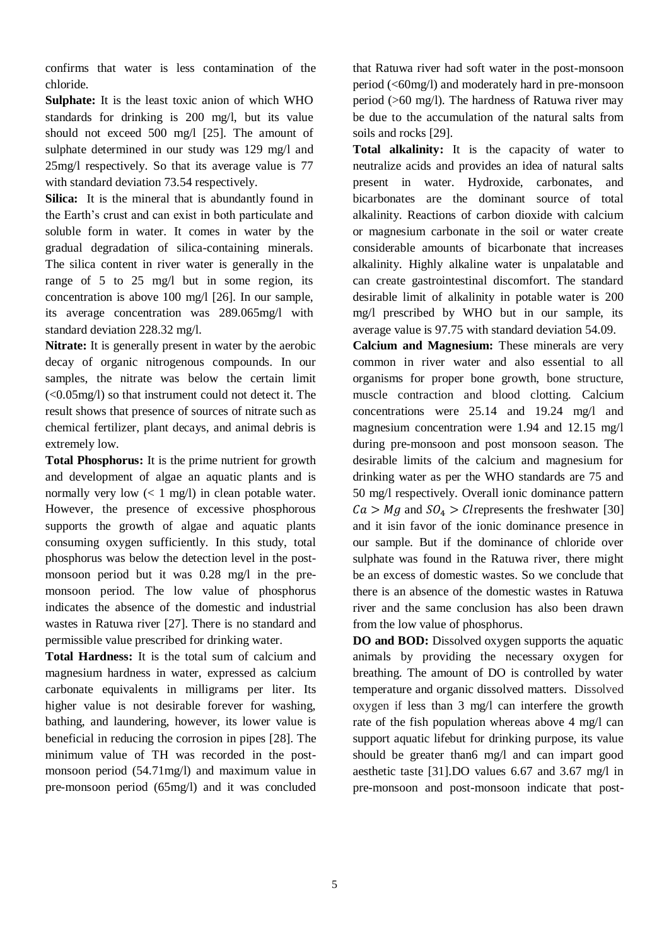confirms that water is less contamination of the chloride.

**Sulphate:** It is the least toxic anion of which WHO standards for drinking is 200 mg/l, but its value should not exceed 500 mg/l [25]. The amount of sulphate determined in our study was 129 mg/l and 25mg/l respectively. So that its average value is 77 with standard deviation 73.54 respectively.

**Silica:** It is the mineral that is abundantly found in the Earth's crust and can exist in both particulate and soluble form in water. It comes in water by the gradual degradation of silica-containing minerals. The silica content in river water is generally in the range of 5 to 25 mg/l but in some region, its concentration is above 100 mg/l [26]. In our sample, its average concentration was 289.065mg/l with standard deviation 228.32 mg/l.

**Nitrate:** It is generally present in water by the aerobic decay of organic nitrogenous compounds. In our samples, the nitrate was below the certain limit (<0.05mg/l) so that instrument could not detect it. The result shows that presence of sources of nitrate such as chemical fertilizer, plant decays, and animal debris is extremely low.

**Total Phosphorus:** It is the prime nutrient for growth and development of algae an aquatic plants and is normally very low  $\left($  < 1 mg/l) in clean potable water. However, the presence of excessive phosphorous supports the growth of algae and aquatic plants consuming oxygen sufficiently. In this study, total phosphorus was below the detection level in the postmonsoon period but it was 0.28 mg/l in the premonsoon period. The low value of phosphorus indicates the absence of the domestic and industrial wastes in Ratuwa river [27]. There is no standard and permissible value prescribed for drinking water.

**Total Hardness:** It is the total sum of calcium and magnesium hardness in water, expressed as calcium carbonate equivalents in milligrams per liter. Its higher value is not desirable forever for washing, bathing, and laundering, however, its lower value is beneficial in reducing the corrosion in pipes [28]. The minimum value of TH was recorded in the postmonsoon period (54.71mg/l) and maximum value in pre-monsoon period (65mg/l) and it was concluded

that Ratuwa river had soft water in the post-monsoon period (<60mg/l) and moderately hard in pre-monsoon period (>60 mg/l). The hardness of Ratuwa river may be due to the accumulation of the natural salts from soils and rocks [29].

**Total alkalinity:** It is the capacity of water to neutralize acids and provides an idea of natural salts present in water. Hydroxide, carbonates, and bicarbonates are the dominant source of total alkalinity. Reactions of carbon dioxide with calcium or magnesium carbonate in the soil or water create considerable amounts of bicarbonate that increases alkalinity. Highly alkaline water is unpalatable and can create gastrointestinal discomfort. The standard desirable limit of alkalinity in potable water is 200 mg/l prescribed by WHO but in our sample, its average value is 97.75 with standard deviation 54.09.

**Calcium and Magnesium:** These minerals are very common in river water and also essential to all organisms for proper bone growth, bone structure, muscle contraction and blood clotting. Calcium concentrations were 25.14 and 19.24 mg/l and magnesium concentration were 1.94 and 12.15 mg/l during pre-monsoon and post monsoon season. The desirable limits of the calcium and magnesium for drinking water as per the WHO standards are 75 and 50 mg/l respectively. Overall ionic dominance pattern  $Ca > Mg$  and  $SO<sub>4</sub> > Cl$  represents the freshwater [30] and it isin favor of the ionic dominance presence in our sample. But if the dominance of chloride over sulphate was found in the Ratuwa river, there might be an excess of domestic wastes. So we conclude that there is an absence of the domestic wastes in Ratuwa river and the same conclusion has also been drawn from the low value of phosphorus.

**DO and BOD:** Dissolved oxygen supports the aquatic animals by providing the necessary oxygen for breathing. The amount of DO is controlled by water temperature and organic dissolved matters. Dissolved oxygen if less than 3 mg/l can interfere the growth rate of the fish population whereas above 4 mg/l can support aquatic lifebut for drinking purpose, its value should be greater than6 mg/l and can impart good aesthetic taste [31].DO values 6.67 and 3.67 mg/l in pre-monsoon and post-monsoon indicate that post-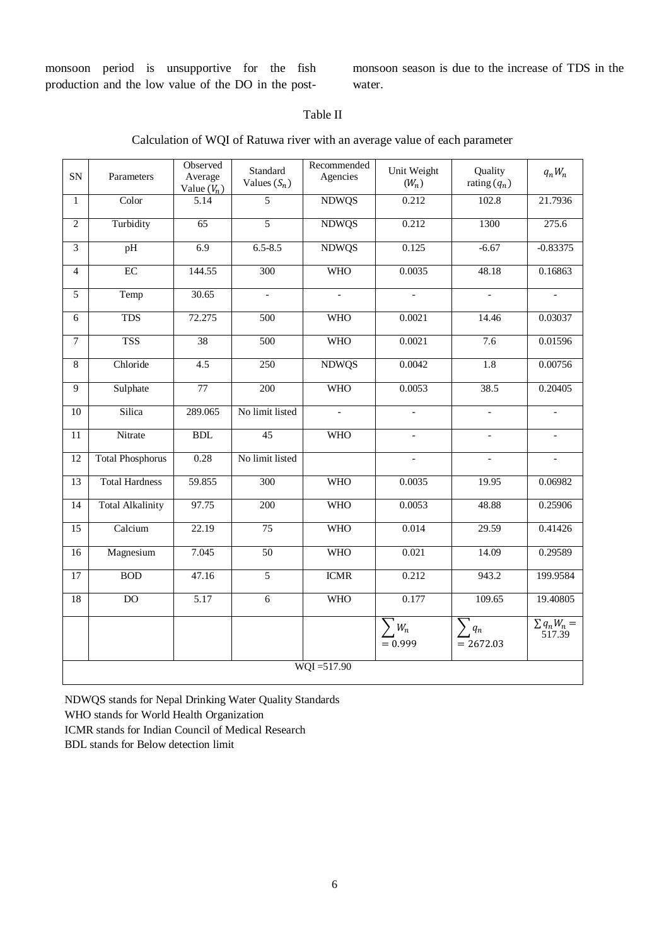monsoon period is unsupportive for the fish production and the low value of the DO in the postmonsoon season is due to the increase of TDS in the water.

# Table II

|  | Calculation of WQI of Ratuwa river with an average value of each parameter |  |
|--|----------------------------------------------------------------------------|--|
|  |                                                                            |  |

| SN              | Parameters              | Observed<br>Average<br>Value $(V_n)$ | Standard<br>Values $(S_n)$ | Recommended<br>Agencies | Unit Weight<br>$(W_n)$       | Quality<br>rating $(q_n)$ | $q_nW_n$                   |
|-----------------|-------------------------|--------------------------------------|----------------------------|-------------------------|------------------------------|---------------------------|----------------------------|
| $\mathbf{1}$    | Color                   | 5.14                                 | 5                          | <b>NDWQS</b>            | 0.212                        | 102.8                     | 21.7936                    |
| $\overline{2}$  | Turbidity               | $\overline{65}$                      | $\overline{5}$             | <b>NDWQS</b>            | 0.212                        | 1300                      | 275.6                      |
| $\overline{3}$  | pH                      | 6.9                                  | $6.5 - 8.5$                | <b>NDWQS</b>            | 0.125                        | $-6.67$                   | $-0.83375$                 |
| $\overline{4}$  | $\overline{EC}$         | 144.55                               | 300                        | <b>WHO</b>              | 0.0035                       | 48.18                     | 0.16863                    |
| 5               | Temp                    | 30.65                                | $\overline{\phantom{a}}$   |                         |                              | $\overline{a}$            |                            |
| 6               | TDS                     | 72.275                               | 500                        | <b>WHO</b>              | 0.0021                       | 14.46                     | 0.03037                    |
| $\overline{7}$  | <b>TSS</b>              | $\overline{38}$                      | $\overline{500}$           | <b>WHO</b>              | 0.0021                       | 7.6                       | 0.01596                    |
| 8               | Chloride                | 4.5                                  | 250                        | <b>NDWQS</b>            | 0.0042                       | 1.8                       | 0.00756                    |
| 9               | Sulphate                | 77                                   | 200                        | <b>WHO</b>              | 0.0053                       | 38.5                      | 0.20405                    |
| $10\,$          | Silica                  | 289.065                              | No limit listed            | $\mathbf{r}$            | $\overline{\phantom{a}}$     | $\overline{a}$            | $\overline{\phantom{a}}$   |
| $\overline{11}$ | Nitrate                 | BDL                                  | 45                         | <b>WHO</b>              | $\frac{1}{2}$                | $\overline{\phantom{0}}$  |                            |
| 12              | <b>Total Phosphorus</b> | 0.28                                 | No limit listed            |                         |                              |                           |                            |
| $\overline{13}$ | <b>Total Hardness</b>   | 59.855                               | 300                        | <b>WHO</b>              | 0.0035                       | 19.95                     | 0.06982                    |
| 14              | <b>Total Alkalinity</b> | 97.75                                | 200                        | <b>WHO</b>              | 0.0053                       | 48.88                     | 0.25906                    |
| 15              | Calcium                 | 22.19                                | 75                         | <b>WHO</b>              | 0.014                        | 29.59                     | 0.41426                    |
| 16              | Magnesium               | 7.045                                | $\overline{50}$            | <b>WHO</b>              | 0.021                        | 14.09                     | 0.29589                    |
| 17              | <b>BOD</b>              | 47.16                                | 5                          | <b>ICMR</b>             | 0.212                        | 943.2                     | 199.9584                   |
| 18              | $\overline{DO}$         | $\overline{5.17}$                    | $\overline{6}$             | <b>WHO</b>              | 0.177                        | 109.65                    | 19.40805                   |
|                 |                         |                                      |                            |                         | $\mathcal{W}_n$<br>$= 0.999$ | $\sum q_n$<br>$= 2672.03$ | $\sum q_n W_n =$<br>517.39 |
|                 | $WOI = 517.90$          |                                      |                            |                         |                              |                           |                            |

NDWQS stands for Nepal Drinking Water Quality Standards

WHO stands for World Health Organization

ICMR stands for Indian Council of Medical Research

BDL stands for Below detection limit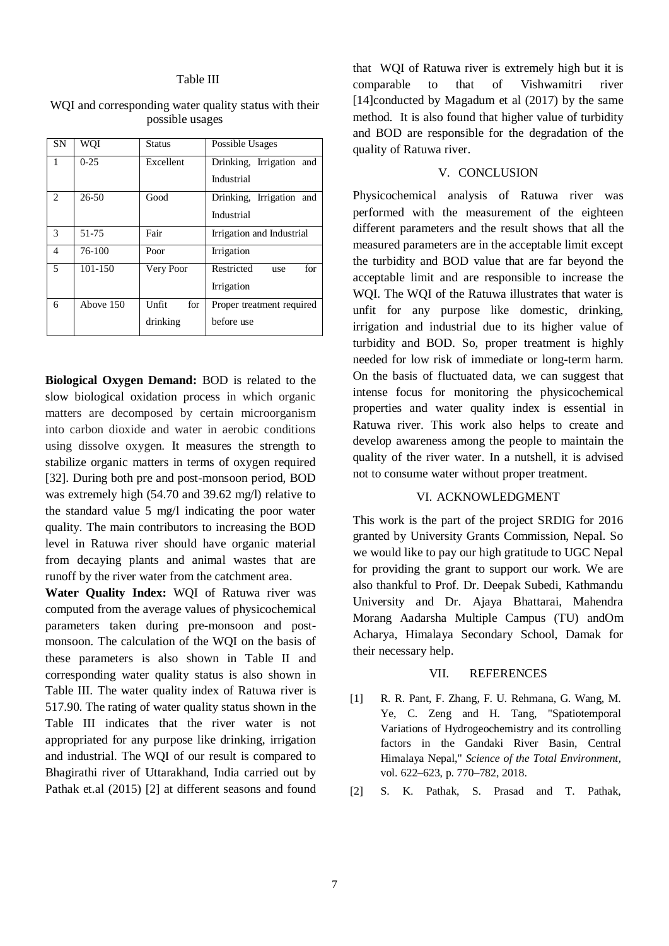## Table III

| WQI and corresponding water quality status with their |  |
|-------------------------------------------------------|--|
| possible usages                                       |  |

| <b>SN</b>      | WQI         | Status       | Possible Usages           |  |
|----------------|-------------|--------------|---------------------------|--|
| 1              | $0-25$      | Excellent    | Drinking, Irrigation and  |  |
|                |             |              | Industrial                |  |
| 2              | $26 - 50$   | Good         | Drinking, Irrigation and  |  |
|                |             |              | Industrial                |  |
| 3              | 51-75       | Fair         | Irrigation and Industrial |  |
| $\overline{4}$ | 76-100      | Poor         | Irrigation                |  |
| 5              | $101 - 150$ | Very Poor    | Restricted<br>for<br>use  |  |
|                |             |              | Irrigation                |  |
| 6              | Above 150   | Unfit<br>for | Proper treatment required |  |
|                |             | drinking     | before use                |  |

**Biological Oxygen Demand:** BOD is related to the slow biological oxidation process in which organic matters are decomposed by certain microorganism into carbon dioxide and water in aerobic conditions using dissolve oxygen. It measures the strength to stabilize organic matters in terms of oxygen required [32]. During both pre and post-monsoon period, BOD was extremely high (54.70 and 39.62 mg/l) relative to the standard value 5 mg/l indicating the poor water quality. The main contributors to increasing the BOD level in Ratuwa river should have organic material from decaying plants and animal wastes that are runoff by the river water from the catchment area.

**Water Quality Index:** WQI of Ratuwa river was computed from the average values of physicochemical parameters taken during pre-monsoon and postmonsoon. The calculation of the WQI on the basis of these parameters is also shown in Table II and corresponding water quality status is also shown in Table III. The water quality index of Ratuwa river is 517.90. The rating of water quality status shown in the Table III indicates that the river water is not appropriated for any purpose like drinking, irrigation and industrial. The WQI of our result is compared to Bhagirathi river of Uttarakhand, India carried out by Pathak et.al (2015) [2] at different seasons and found

that WQI of Ratuwa river is extremely high but it is comparable to that of Vishwamitri river [14]conducted by Magadum et al (2017) by the same method. It is also found that higher value of turbidity and BOD are responsible for the degradation of the quality of Ratuwa river.

## V. CONCLUSION

Physicochemical analysis of Ratuwa river was performed with the measurement of the eighteen different parameters and the result shows that all the measured parameters are in the acceptable limit except the turbidity and BOD value that are far beyond the acceptable limit and are responsible to increase the WOI. The WOI of the Ratuwa illustrates that water is unfit for any purpose like domestic, drinking, irrigation and industrial due to its higher value of turbidity and BOD. So, proper treatment is highly needed for low risk of immediate or long-term harm. On the basis of fluctuated data, we can suggest that intense focus for monitoring the physicochemical properties and water quality index is essential in Ratuwa river. This work also helps to create and develop awareness among the people to maintain the quality of the river water. In a nutshell, it is advised not to consume water without proper treatment.

## VI. ACKNOWLEDGMENT

This work is the part of the project SRDIG for 2016 granted by University Grants Commission, Nepal. So we would like to pay our high gratitude to UGC Nepal for providing the grant to support our work. We are also thankful to Prof. Dr. Deepak Subedi, Kathmandu University and Dr. Ajaya Bhattarai, Mahendra Morang Aadarsha Multiple Campus (TU) andOm Acharya, Himalaya Secondary School, Damak for their necessary help.

## VII. REFERENCES

- [1] R. R. Pant, F. Zhang, F. U. Rehmana, G. Wang, M. Ye, C. Zeng and H. Tang, "Spatiotemporal Variations of Hydrogeochemistry and its controlling factors in the Gandaki River Basin, Central Himalaya Nepal," *Science of the Total Environment,*  vol. 622–623, p. 770–782, 2018.
- [2] S. K. Pathak, S. Prasad and T. Pathak,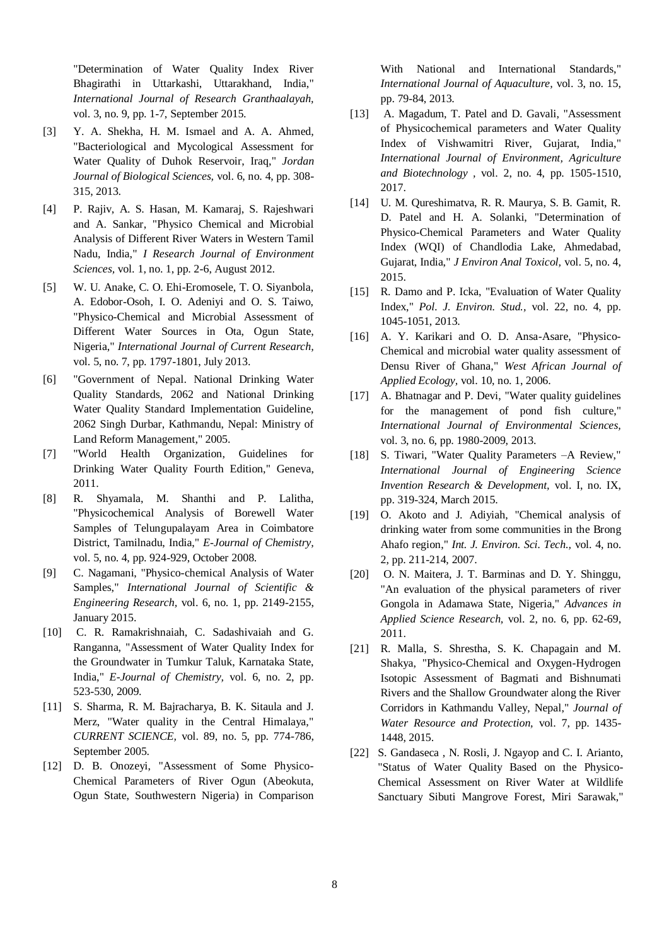"Determination of Water Quality Index River Bhagirathi in Uttarkashi, Uttarakhand, India," *International Journal of Research Granthaalayah,*  vol. 3, no. 9, pp. 1-7, September 2015.

- [3] Y. A. Shekha, H. M. Ismael and A. A. Ahmed, "Bacteriological and Mycological Assessment for Water Quality of Duhok Reservoir, Iraq," *Jordan Journal of Biological Sciences,* vol. 6, no. 4, pp. 308- 315, 2013.
- [4] P. Rajiv, A. S. Hasan, M. Kamaraj, S. Rajeshwari and A. Sankar, "Physico Chemical and Microbial Analysis of Different River Waters in Western Tamil Nadu, India," *I Research Journal of Environment Sciences,* vol. 1, no. 1, pp. 2-6, August 2012.
- [5] W. U. Anake, C. O. Ehi-Eromosele, T. O. Siyanbola, A. Edobor-Osoh, I. O. Adeniyi and O. S. Taiwo, "Physico-Chemical and Microbial Assessment of Different Water Sources in Ota, Ogun State, Nigeria," *International Journal of Current Research,*  vol. 5, no. 7, pp. 1797-1801, July 2013.
- [6] "Government of Nepal. National Drinking Water Quality Standards, 2062 and National Drinking Water Quality Standard Implementation Guideline, 2062 Singh Durbar, Kathmandu, Nepal: Ministry of Land Reform Management," 2005.
- [7] "World Health Organization, Guidelines for Drinking Water Quality Fourth Edition," Geneva, 2011.
- [8] R. Shyamala, M. Shanthi and P. Lalitha, "Physicochemical Analysis of Borewell Water Samples of Telungupalayam Area in Coimbatore District, Tamilnadu, India," *E-Journal of Chemistry,*  vol. 5, no. 4, pp. 924-929, October 2008.
- [9] C. Nagamani, "Physico-chemical Analysis of Water Samples," *International Journal of Scientific & Engineering Research,* vol. 6, no. 1, pp. 2149-2155, January 2015.
- [10] C. R. Ramakrishnaiah, C. Sadashivaiah and G. Ranganna, "Assessment of Water Quality Index for the Groundwater in Tumkur Taluk, Karnataka State, India," *E-Journal of Chemistry,* vol. 6, no. 2, pp. 523-530, 2009.
- [11] S. Sharma, R. M. Bajracharya, B. K. Sitaula and J. Merz, "Water quality in the Central Himalaya," *CURRENT SCIENCE,* vol. 89, no. 5, pp. 774-786, September 2005.
- [12] D. B. Onozeyi, "Assessment of Some Physico-Chemical Parameters of River Ogun (Abeokuta, Ogun State, Southwestern Nigeria) in Comparison

With National and International Standards," *International Journal of Aquaculture,* vol. 3, no. 15, pp. 79-84, 2013.

- [13] A. Magadum, T. Patel and D. Gavali, "Assessment of Physicochemical parameters and Water Quality Index of Vishwamitri River, Gujarat, India," *International Journal of Environment, Agriculture and Biotechnology ,* vol. 2, no. 4, pp. 1505-1510, 2017.
- [14] U. M. Qureshimatva, R. R. Maurya, S. B. Gamit, R. D. Patel and H. A. Solanki, "Determination of Physico-Chemical Parameters and Water Quality Index (WQI) of Chandlodia Lake, Ahmedabad, Gujarat, India," *J Environ Anal Toxicol,* vol. 5, no. 4, 2015.
- [15] R. Damo and P. Icka, "Evaluation of Water Quality Index," *Pol. J. Environ. Stud.,* vol. 22, no. 4, pp. 1045-1051, 2013.
- [16] A. Y. Karikari and O. D. Ansa-Asare, "Physico-Chemical and microbial water quality assessment of Densu River of Ghana," *West African Journal of Applied Ecology,* vol. 10, no. 1, 2006.
- [17] A. Bhatnagar and P. Devi, "Water quality guidelines for the management of pond fish culture," *International Journal of Environmental Sciences,*  vol. 3, no. 6, pp. 1980-2009, 2013.
- [18] S. Tiwari, "Water Quality Parameters –A Review," *International Journal of Engineering Science Invention Research & Development,* vol. I, no. IX, pp. 319-324, March 2015.
- [19] O. Akoto and J. Adiyiah, "Chemical analysis of drinking water from some communities in the Brong Ahafo region," *Int. J. Environ. Sci. Tech.,* vol. 4, no. 2, pp. 211-214, 2007.
- [20] O. N. Maitera, J. T. Barminas and D. Y. Shinggu, "An evaluation of the physical parameters of river Gongola in Adamawa State, Nigeria," *Advances in Applied Science Research,* vol. 2, no. 6, pp. 62-69, 2011.
- [21] R. Malla, S. Shrestha, S. K. Chapagain and M. Shakya, "Physico-Chemical and Oxygen-Hydrogen Isotopic Assessment of Bagmati and Bishnumati Rivers and the Shallow Groundwater along the River Corridors in Kathmandu Valley, Nepal," *Journal of Water Resource and Protection,* vol. 7, pp. 1435- 1448, 2015.
- [22] S. Gandaseca, N. Rosli, J. Ngayop and C. I. Arianto, "Status of Water Quality Based on the Physico-Chemical Assessment on River Water at Wildlife Sanctuary Sibuti Mangrove Forest, Miri Sarawak,"